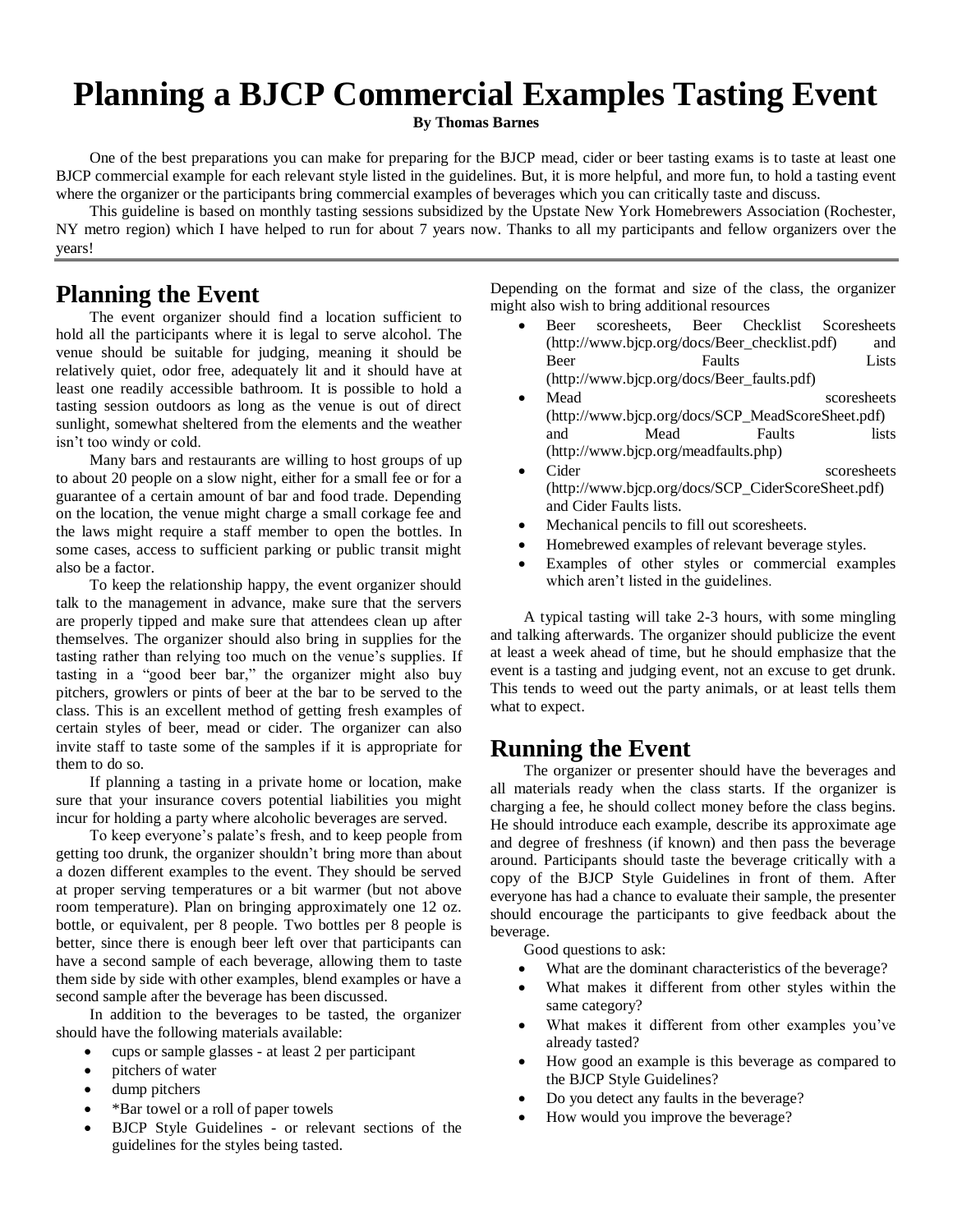# **Planning a BJCP Commercial Examples Tasting Event**

**By Thomas Barnes**

One of the best preparations you can make for preparing for the BJCP mead, cider or beer tasting exams is to taste at least one BJCP commercial example for each relevant style listed in the guidelines. But, it is more helpful, and more fun, to hold a tasting event where the organizer or the participants bring commercial examples of beverages which you can critically taste and discuss.

This guideline is based on monthly tasting sessions subsidized by the Upstate New York Homebrewers Association (Rochester, NY metro region) which I have helped to run for about 7 years now. Thanks to all my participants and fellow organizers over the years!

### **Planning the Event**

The event organizer should find a location sufficient to hold all the participants where it is legal to serve alcohol. The venue should be suitable for judging, meaning it should be relatively quiet, odor free, adequately lit and it should have at least one readily accessible bathroom. It is possible to hold a tasting session outdoors as long as the venue is out of direct sunlight, somewhat sheltered from the elements and the weather isn't too windy or cold.

Many bars and restaurants are willing to host groups of up to about 20 people on a slow night, either for a small fee or for a guarantee of a certain amount of bar and food trade. Depending on the location, the venue might charge a small corkage fee and the laws might require a staff member to open the bottles. In some cases, access to sufficient parking or public transit might also be a factor.

To keep the relationship happy, the event organizer should talk to the management in advance, make sure that the servers are properly tipped and make sure that attendees clean up after themselves. The organizer should also bring in supplies for the tasting rather than relying too much on the venue's supplies. If tasting in a "good beer bar," the organizer might also buy pitchers, growlers or pints of beer at the bar to be served to the class. This is an excellent method of getting fresh examples of certain styles of beer, mead or cider. The organizer can also invite staff to taste some of the samples if it is appropriate for them to do so.

If planning a tasting in a private home or location, make sure that your insurance covers potential liabilities you might incur for holding a party where alcoholic beverages are served.

To keep everyone's palate's fresh, and to keep people from getting too drunk, the organizer shouldn't bring more than about a dozen different examples to the event. They should be served at proper serving temperatures or a bit warmer (but not above room temperature). Plan on bringing approximately one 12 oz. bottle, or equivalent, per 8 people. Two bottles per 8 people is better, since there is enough beer left over that participants can have a second sample of each beverage, allowing them to taste them side by side with other examples, blend examples or have a second sample after the beverage has been discussed.

In addition to the beverages to be tasted, the organizer should have the following materials available:

- cups or sample glasses at least 2 per participant
- pitchers of water
- dump pitchers
- \*Bar towel or a roll of paper towels
- BJCP Style Guidelines or relevant sections of the guidelines for the styles being tasted.

Depending on the format and size of the class, the organizer might also wish to bring additional resources

- Beer scoresheets, Beer Checklist Scoresheets (http://www.bjcp.org/docs/Beer\_checklist.pdf) and Beer Faults Lists (http://www.bjcp.org/docs/Beer\_faults.pdf)
- Mead scoresheets (http://www.bjcp.org/docs/SCP\_MeadScoreSheet.pdf) and Mead Faults lists (http://www.bjcp.org/meadfaults.php)
- Cider scoresheets (http://www.bjcp.org/docs/SCP\_CiderScoreSheet.pdf) and Cider Faults lists.
- Mechanical pencils to fill out scoresheets.
- Homebrewed examples of relevant beverage styles.
- Examples of other styles or commercial examples which aren't listed in the guidelines.

A typical tasting will take 2-3 hours, with some mingling and talking afterwards. The organizer should publicize the event at least a week ahead of time, but he should emphasize that the event is a tasting and judging event, not an excuse to get drunk. This tends to weed out the party animals, or at least tells them what to expect.

### **Running the Event**

The organizer or presenter should have the beverages and all materials ready when the class starts. If the organizer is charging a fee, he should collect money before the class begins. He should introduce each example, describe its approximate age and degree of freshness (if known) and then pass the beverage around. Participants should taste the beverage critically with a copy of the BJCP Style Guidelines in front of them. After everyone has had a chance to evaluate their sample, the presenter should encourage the participants to give feedback about the beverage.

Good questions to ask:

- What are the dominant characteristics of the beverage?
- What makes it different from other styles within the same category?
- What makes it different from other examples you've already tasted?
- How good an example is this beverage as compared to the BJCP Style Guidelines?
- Do you detect any faults in the beverage?
- How would you improve the beverage?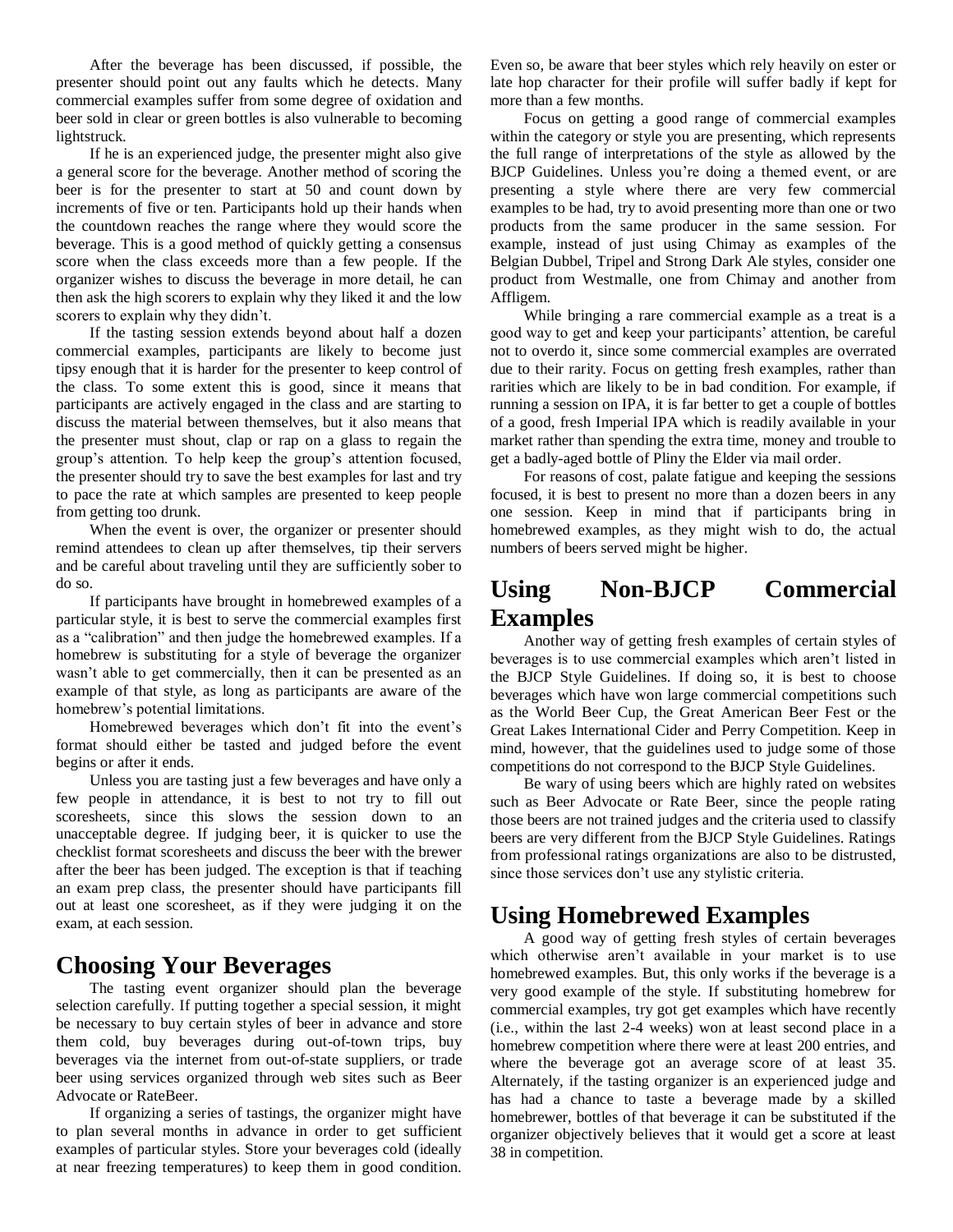After the beverage has been discussed, if possible, the presenter should point out any faults which he detects. Many commercial examples suffer from some degree of oxidation and beer sold in clear or green bottles is also vulnerable to becoming lightstruck.

If he is an experienced judge, the presenter might also give a general score for the beverage. Another method of scoring the beer is for the presenter to start at 50 and count down by increments of five or ten. Participants hold up their hands when the countdown reaches the range where they would score the beverage. This is a good method of quickly getting a consensus score when the class exceeds more than a few people. If the organizer wishes to discuss the beverage in more detail, he can then ask the high scorers to explain why they liked it and the low scorers to explain why they didn't.

If the tasting session extends beyond about half a dozen commercial examples, participants are likely to become just tipsy enough that it is harder for the presenter to keep control of the class. To some extent this is good, since it means that participants are actively engaged in the class and are starting to discuss the material between themselves, but it also means that the presenter must shout, clap or rap on a glass to regain the group's attention. To help keep the group's attention focused, the presenter should try to save the best examples for last and try to pace the rate at which samples are presented to keep people from getting too drunk.

When the event is over, the organizer or presenter should remind attendees to clean up after themselves, tip their servers and be careful about traveling until they are sufficiently sober to do so.

If participants have brought in homebrewed examples of a particular style, it is best to serve the commercial examples first as a "calibration" and then judge the homebrewed examples. If a homebrew is substituting for a style of beverage the organizer wasn't able to get commercially, then it can be presented as an example of that style, as long as participants are aware of the homebrew's potential limitations.

Homebrewed beverages which don't fit into the event's format should either be tasted and judged before the event begins or after it ends.

Unless you are tasting just a few beverages and have only a few people in attendance, it is best to not try to fill out scoresheets, since this slows the session down to an unacceptable degree. If judging beer, it is quicker to use the checklist format scoresheets and discuss the beer with the brewer after the beer has been judged. The exception is that if teaching an exam prep class, the presenter should have participants fill out at least one scoresheet, as if they were judging it on the exam, at each session.

### **Choosing Your Beverages**

The tasting event organizer should plan the beverage selection carefully. If putting together a special session, it might be necessary to buy certain styles of beer in advance and store them cold, buy beverages during out-of-town trips, buy beverages via the internet from out-of-state suppliers, or trade beer using services organized through web sites such as Beer Advocate or RateBeer.

If organizing a series of tastings, the organizer might have to plan several months in advance in order to get sufficient examples of particular styles. Store your beverages cold (ideally at near freezing temperatures) to keep them in good condition.

Even so, be aware that beer styles which rely heavily on ester or late hop character for their profile will suffer badly if kept for more than a few months.

Focus on getting a good range of commercial examples within the category or style you are presenting, which represents the full range of interpretations of the style as allowed by the BJCP Guidelines. Unless you're doing a themed event, or are presenting a style where there are very few commercial examples to be had, try to avoid presenting more than one or two products from the same producer in the same session. For example, instead of just using Chimay as examples of the Belgian Dubbel, Tripel and Strong Dark Ale styles, consider one product from Westmalle, one from Chimay and another from Affligem.

While bringing a rare commercial example as a treat is a good way to get and keep your participants' attention, be careful not to overdo it, since some commercial examples are overrated due to their rarity. Focus on getting fresh examples, rather than rarities which are likely to be in bad condition. For example, if running a session on IPA, it is far better to get a couple of bottles of a good, fresh Imperial IPA which is readily available in your market rather than spending the extra time, money and trouble to get a badly-aged bottle of Pliny the Elder via mail order.

For reasons of cost, palate fatigue and keeping the sessions focused, it is best to present no more than a dozen beers in any one session. Keep in mind that if participants bring in homebrewed examples, as they might wish to do, the actual numbers of beers served might be higher.

# **Using Non-BJCP Commercial Examples**

Another way of getting fresh examples of certain styles of beverages is to use commercial examples which aren't listed in the BJCP Style Guidelines. If doing so, it is best to choose beverages which have won large commercial competitions such as the World Beer Cup, the Great American Beer Fest or the Great Lakes International Cider and Perry Competition. Keep in mind, however, that the guidelines used to judge some of those competitions do not correspond to the BJCP Style Guidelines.

Be wary of using beers which are highly rated on websites such as Beer Advocate or Rate Beer, since the people rating those beers are not trained judges and the criteria used to classify beers are very different from the BJCP Style Guidelines. Ratings from professional ratings organizations are also to be distrusted, since those services don't use any stylistic criteria.

# **Using Homebrewed Examples**

A good way of getting fresh styles of certain beverages which otherwise aren't available in your market is to use homebrewed examples. But, this only works if the beverage is a very good example of the style. If substituting homebrew for commercial examples, try got get examples which have recently (i.e., within the last 2-4 weeks) won at least second place in a homebrew competition where there were at least 200 entries, and where the beverage got an average score of at least 35. Alternately, if the tasting organizer is an experienced judge and has had a chance to taste a beverage made by a skilled homebrewer, bottles of that beverage it can be substituted if the organizer objectively believes that it would get a score at least 38 in competition.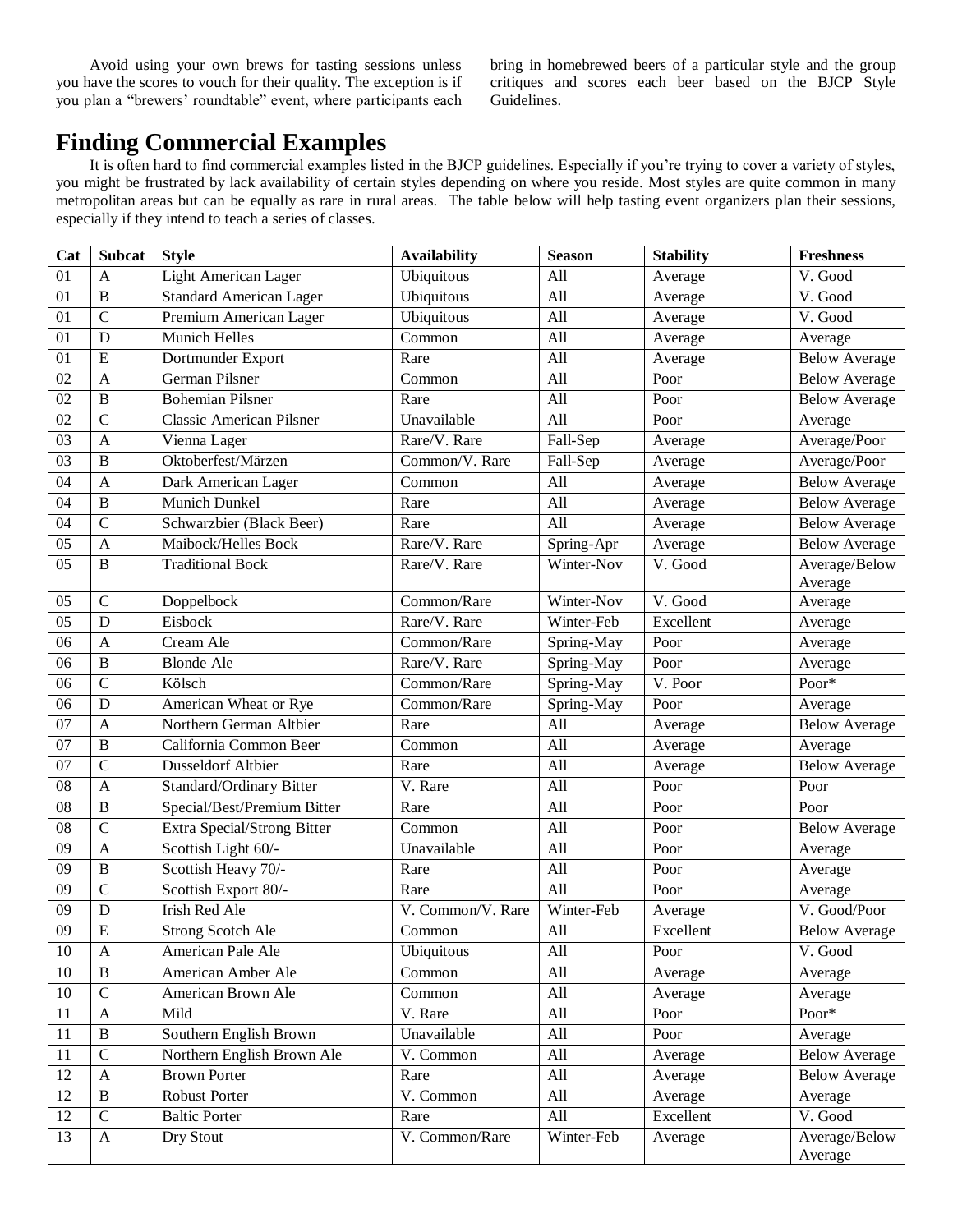Avoid using your own brews for tasting sessions unless you have the scores to vouch for their quality. The exception is if you plan a "brewers' roundtable" event, where participants each

bring in homebrewed beers of a particular style and the group critiques and scores each beer based on the BJCP Style Guidelines.

# **Finding Commercial Examples**

It is often hard to find commercial examples listed in the BJCP guidelines. Especially if you're trying to cover a variety of styles, you might be frustrated by lack availability of certain styles depending on where you reside. Most styles are quite common in many metropolitan areas but can be equally as rare in rural areas. The table below will help tasting event organizers plan their sessions, especially if they intend to teach a series of classes.

| Cat             | <b>Subcat</b>  | <b>Style</b>                       | <b>Availability</b> | <b>Season</b> | <b>Stability</b> | <b>Freshness</b>         |
|-----------------|----------------|------------------------------------|---------------------|---------------|------------------|--------------------------|
| 01              | A              | Light American Lager               | Ubiquitous          | All           | Average          | V. Good                  |
| 01              | $\, {\bf B}$   | <b>Standard American Lager</b>     | Ubiquitous          | All           | Average          | V. Good                  |
| 01              | $\overline{C}$ | Premium American Lager             | Ubiquitous          | All           | Average          | V. Good                  |
| 01              | $\mathbf D$    | <b>Munich Helles</b>               | Common              | All           | Average          | Average                  |
| 01              | ${\bf E}$      | Dortmunder Export                  | Rare                | All           | Average          | <b>Below Average</b>     |
| 02              | $\mathbf{A}$   | German Pilsner                     | Common              | All           | Poor             | <b>Below Average</b>     |
| 02              | $\mathbf B$    | <b>Bohemian Pilsner</b>            | Rare                | All           | Poor             | <b>Below Average</b>     |
| 02              | $\overline{C}$ | <b>Classic American Pilsner</b>    | Unavailable         | All           | Poor             | Average                  |
| $\overline{03}$ | $\mathbf{A}$   | Vienna Lager                       | Rare/V. Rare        | Fall-Sep      | Average          | Average/Poor             |
| 03              | $\bf{B}$       | Oktoberfest/Märzen                 | Common/V. Rare      | Fall-Sep      | Average          | Average/Poor             |
| 04              | $\mathbf{A}$   | Dark American Lager                | Common              | All           | Average          | <b>Below Average</b>     |
| 04              | $\bf{B}$       | Munich Dunkel                      | Rare                | All           | Average          | <b>Below Average</b>     |
| 04              | $\mathcal{C}$  | Schwarzbier (Black Beer)           | Rare                | All           | Average          | <b>Below Average</b>     |
| 05              | $\mathbf{A}$   | Maibock/Helles Bock                | Rare/V. Rare        | Spring-Apr    | Average          | <b>Below Average</b>     |
| 05              | $\bf{B}$       | <b>Traditional Bock</b>            | Rare/V. Rare        | Winter-Nov    | V. Good          | Average/Below<br>Average |
| 05              | $\mathbf C$    | Doppelbock                         | Common/Rare         | Winter-Nov    | V. Good          | Average                  |
| 05              | D              | Eisbock                            | Rare/V. Rare        | Winter-Feb    | Excellent        | Average                  |
| 06              | $\mathbf{A}$   | Cream Ale                          | Common/Rare         | Spring-May    | Poor             | Average                  |
| 06              | $\bf{B}$       | <b>Blonde Ale</b>                  | Rare/V. Rare        | Spring-May    | Poor             | Average                  |
| 06              | $\mathcal{C}$  | Kölsch                             | Common/Rare         | Spring-May    | V. Poor          | Poor*                    |
| 06              | D              | American Wheat or Rye              | Common/Rare         | Spring-May    | Poor             | Average                  |
| 07              | $\mathbf{A}$   | Northern German Altbier            | Rare                | All           | Average          | <b>Below Average</b>     |
| 07              | $\bf{B}$       | California Common Beer             | Common              | All           | Average          | Average                  |
| 07              | $\mathcal{C}$  | <b>Dusseldorf Altbier</b>          | Rare                | All           | Average          | <b>Below Average</b>     |
| $\overline{08}$ | $\mathbf{A}$   | Standard/Ordinary Bitter           | V. Rare             | All           | Poor             | Poor                     |
| 08              | $\bf{B}$       | Special/Best/Premium Bitter        | Rare                | All           | Poor             | Poor                     |
| 08              | $\mathcal{C}$  | <b>Extra Special/Strong Bitter</b> | Common              | All           | Poor             | <b>Below Average</b>     |
| $\overline{09}$ | $\mathbf{A}$   | Scottish Light 60/-                | Unavailable         | All           | Poor             | Average                  |
| 09              | $\mathbf B$    | Scottish Heavy 70/-                | Rare                | All           | Poor             | Average                  |
| 09              | $\mathcal{C}$  | Scottish Export 80/-               | Rare                | All           | Poor             | Average                  |
| 09              | D              | <b>Irish Red Ale</b>               | V. Common/V. Rare   | Winter-Feb    | Average          | V. Good/Poor             |
| 09              | ${\bf E}$      | <b>Strong Scotch Ale</b>           | Common              | All           | Excellent        | <b>Below Average</b>     |
| 10              | $\mathbf{A}$   | American Pale Ale                  | Ubiquitous          | All           | Poor             | V. Good                  |
| 10              | $\, {\bf B}$   | American Amber Ale                 | Common              | All           | Average          | Average                  |
| 10              | $\mathbf C$    | American Brown Ale                 | Common              | All           | Average          | Average                  |
| 11              | $\mathbf{A}$   | Mild                               | V. Rare             | All           | Poor             | Poor*                    |
| 11              | $\, {\bf B}$   | Southern English Brown             | Unavailable         | All           | Poor             | Average                  |
| 11              | $\overline{C}$ | Northern English Brown Ale         | V. Common           | All           | Average          | <b>Below Average</b>     |
| 12              | $\mathbf{A}$   | <b>Brown Porter</b>                | Rare                | All           | Average          | <b>Below Average</b>     |
| 12              | $\, {\bf B}$   | Robust Porter                      | V. Common           | All           | Average          | Average                  |
| 12              | $\mathbf C$    | <b>Baltic Porter</b>               | Rare                | All           | Excellent        | V. Good                  |
| 13              | $\mathbf{A}$   | Dry Stout                          | V. Common/Rare      | Winter-Feb    | Average          | Average/Below            |
|                 |                |                                    |                     |               |                  | Average                  |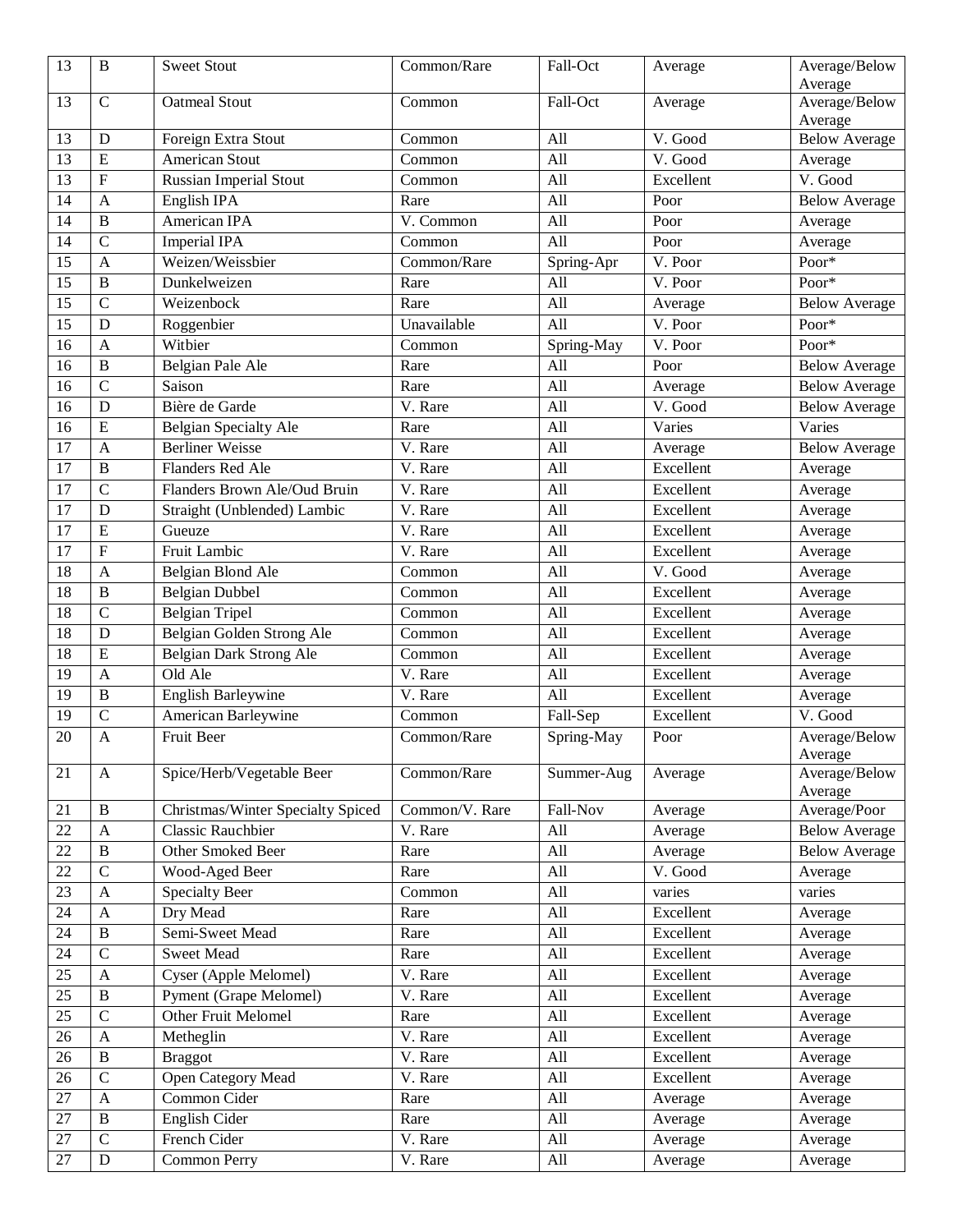| 13              | $\mathbf B$               | <b>Sweet Stout</b>                | Common/Rare             | Fall-Oct   | Average   | Average/Below        |
|-----------------|---------------------------|-----------------------------------|-------------------------|------------|-----------|----------------------|
|                 |                           |                                   |                         |            |           | Average              |
| 13              | $\mathbf C$               | <b>Oatmeal Stout</b>              | Common                  | Fall-Oct   | Average   | Average/Below        |
| 13              |                           |                                   |                         | All        | V. Good   | Average              |
|                 | D                         | Foreign Extra Stout               | Common                  |            |           | <b>Below Average</b> |
| 13              | E                         | <b>American Stout</b>             | Common                  | All        | V. Good   | Average              |
| 13              | $\boldsymbol{\mathrm{F}}$ | <b>Russian Imperial Stout</b>     | Common                  | All        | Excellent | V. Good              |
| 14              | $\mathbf{A}$              | English IPA                       | Rare                    | All        | Poor      | <b>Below Average</b> |
| 14              | $\mathbf B$               | American IPA                      | $\overline{V}$ . Common | All        | Poor      | Average              |
| 14              | $\mathcal{C}$             | <b>Imperial IPA</b>               | Common                  | All        | Poor      | Average              |
| 15              | $\mathbf{A}$              | Weizen/Weissbier                  | Common/Rare             | Spring-Apr | V. Poor   | Poor*                |
| 15              | $\bf{B}$                  | Dunkelweizen                      | Rare                    | All        | V. Poor   | Poor*                |
| $\overline{15}$ | $\overline{C}$            | Weizenbock                        | Rare                    | All        | Average   | <b>Below Average</b> |
| 15              | D                         | Roggenbier                        | Unavailable             | All        | V. Poor   | Poor*                |
| 16              | $\mathbf{A}$              | Witbier                           | Common                  | Spring-May | V. Poor   | $Poor^*$             |
| 16              | $\bf{B}$                  | Belgian Pale Ale                  | Rare                    | All        | Poor      | <b>Below Average</b> |
| 16              | $\mathbf C$               | Saison                            | Rare                    | All        | Average   | <b>Below Average</b> |
| 16              | D                         | Bière de Garde                    | V. Rare                 | All        | V. Good   | <b>Below Average</b> |
| 16              | E                         | Belgian Specialty Ale             | Rare                    | All        | Varies    | Varies               |
| 17              | $\mathbf{A}$              | <b>Berliner Weisse</b>            | V. Rare                 | All        | Average   | <b>Below Average</b> |
| 17              | $\mathbf B$               | Flanders Red Ale                  | V. Rare                 | All        | Excellent | Average              |
| 17              | $\mathbf C$               | Flanders Brown Ale/Oud Bruin      | V. Rare                 | All        | Excellent | Average              |
| 17              | D                         | Straight (Unblended) Lambic       | V. Rare                 | All        | Excellent | Average              |
| $\overline{17}$ | $\overline{E}$            | Gueuze                            | V. Rare                 | All        | Excellent | Average              |
| 17              | ${\bf F}$                 | <b>Fruit Lambic</b>               | V. Rare                 | All        | Excellent | Average              |
| 18              | $\mathbf{A}$              | Belgian Blond Ale                 | Common                  | All        | V. Good   | Average              |
| 18              | $\mathbf B$               | <b>Belgian Dubbel</b>             | Common                  | All        | Excellent | Average              |
| 18              | $\overline{C}$            | <b>Belgian Tripel</b>             | Common                  | All        | Excellent | Average              |
| 18              | D                         | Belgian Golden Strong Ale         | Common                  | All        | Excellent | Average              |
| 18              | E                         | Belgian Dark Strong Ale           | Common                  | All        | Excellent | Average              |
| 19              | $\mathbf{A}$              | Old Ale                           | V. Rare                 | All        | Excellent | Average              |
| 19              | $\mathbf B$               | <b>English Barleywine</b>         | V. Rare                 | All        | Excellent | Average              |
| 19              | $\mathbf C$               | American Barleywine               | Common                  | Fall-Sep   | Excellent | V. Good              |
| 20              | $\mathbf{A}$              | Fruit Beer                        | Common/Rare             | Spring-May | Poor      | Average/Below        |
|                 |                           |                                   |                         |            |           | Average              |
| 21              | $\mathbf{A}$              | Spice/Herb/Vegetable Beer         | Common/Rare             | Summer-Aug | Average   | Average/Below        |
|                 |                           |                                   |                         |            |           | Average              |
| 21              | B                         | Christmas/Winter Specialty Spiced | Common/V. Rare          | Fall-Nov   | Average   | Average/Poor         |
| 22              | $\mathbf{A}$              | <b>Classic Rauchbier</b>          | V. Rare                 | All        | Average   | <b>Below Average</b> |
| 22              | $\, {\bf B}$              | Other Smoked Beer                 | Rare                    | All        | Average   | <b>Below Average</b> |
| 22              | $\mathbf C$               | Wood-Aged Beer                    | Rare                    | All        | V. Good   | Average              |
| 23              | $\mathbf{A}$              | <b>Specialty Beer</b>             | Common                  | All        | varies    | varies               |
| 24              | $\mathbf{A}$              | Dry Mead                          | Rare                    | All        | Excellent | Average              |
| 24              | $\, {\bf B}$              | Semi-Sweet Mead                   | Rare                    | All        | Excellent | Average              |
| 24              | $\overline{C}$            | <b>Sweet Mead</b>                 | Rare                    | All        | Excellent | Average              |
| 25              | $\mathbf{A}$              | Cyser (Apple Melomel)             | V. Rare                 | All        | Excellent | Average              |
| 25              | $\, {\bf B}$              | Pyment (Grape Melomel)            | V. Rare                 | All        | Excellent | Average              |
| 25              | $\overline{C}$            | Other Fruit Melomel               | Rare                    | All        | Excellent | Average              |
| 26              | $\mathbf{A}$              | Metheglin                         | V. Rare                 | All        | Excellent | Average              |
| 26              | $\mathbf B$               | <b>Braggot</b>                    | V. Rare                 | All        | Excellent | Average              |
| 26              | $\mathbf C$               | Open Category Mead                | V. Rare                 | All        | Excellent | Average              |
| 27              | $\mathbf{A}$              | Common Cider                      | Rare                    | All        | Average   | Average              |
| 27              | $\, {\bf B}$              | English Cider                     | Rare                    | All        | Average   | Average              |
| 27              | $\mathbf C$               | French Cider                      | V. Rare                 | All        | Average   | Average              |
| 27              | $\mathbf D$               | Common Perry                      | V. Rare                 | All        | Average   | Average              |
|                 |                           |                                   |                         |            |           |                      |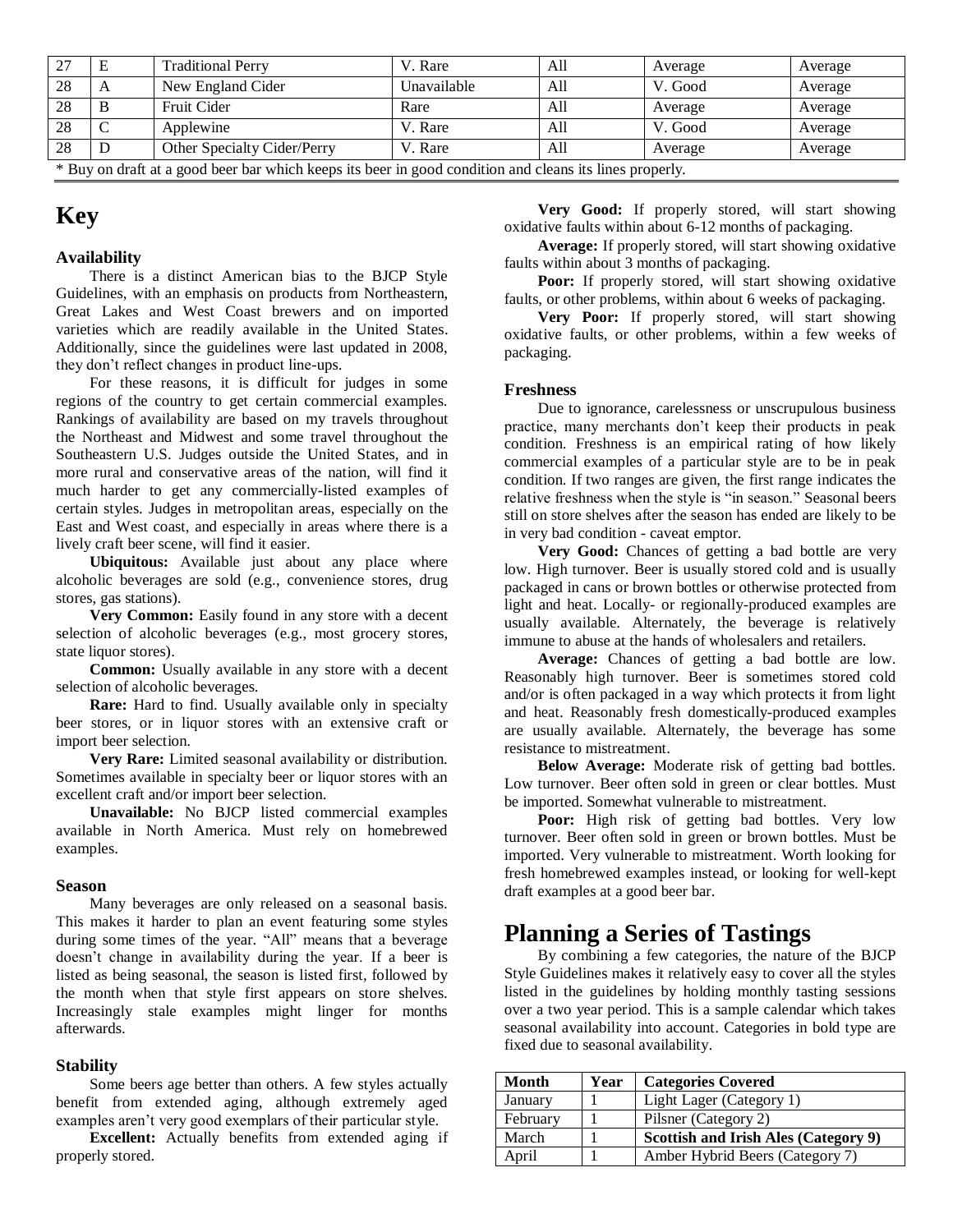|                                                                                     |   | <b>Traditional Perry</b>    | V. Rare     | All | Average | Average |
|-------------------------------------------------------------------------------------|---|-----------------------------|-------------|-----|---------|---------|
| 28                                                                                  |   | New England Cider           | Unavailable | All | V. Good | Average |
| 28                                                                                  | Ð | Fruit Cider                 | Rare        | All | Average | Average |
| 28                                                                                  |   | Applewine                   | V. Rare     | All | V. Good | Average |
| 28                                                                                  |   | Other Specialty Cider/Perry | V. Rare     | All | Average | Average |
| $\cdots$<br>$\mathbf{a}$<br>$\cdot$ $\cdot$<br>.<br>$\mathbf{1}$<br>$\cdot$ $\cdot$ |   |                             |             |     |         |         |

\* Buy on draft at a good beer bar which keeps its beer in good condition and cleans its lines properly.

# **Key**

#### **Availability**

There is a distinct American bias to the BJCP Style Guidelines, with an emphasis on products from Northeastern, Great Lakes and West Coast brewers and on imported varieties which are readily available in the United States. Additionally, since the guidelines were last updated in 2008, they don't reflect changes in product line-ups.

For these reasons, it is difficult for judges in some regions of the country to get certain commercial examples. Rankings of availability are based on my travels throughout the Northeast and Midwest and some travel throughout the Southeastern U.S. Judges outside the United States, and in more rural and conservative areas of the nation, will find it much harder to get any commercially-listed examples of certain styles. Judges in metropolitan areas, especially on the East and West coast, and especially in areas where there is a lively craft beer scene, will find it easier.

**Ubiquitous:** Available just about any place where alcoholic beverages are sold (e.g., convenience stores, drug stores, gas stations).

**Very Common:** Easily found in any store with a decent selection of alcoholic beverages (e.g., most grocery stores, state liquor stores).

**Common:** Usually available in any store with a decent selection of alcoholic beverages.

**Rare:** Hard to find. Usually available only in specialty beer stores, or in liquor stores with an extensive craft or import beer selection.

**Very Rare:** Limited seasonal availability or distribution. Sometimes available in specialty beer or liquor stores with an excellent craft and/or import beer selection.

**Unavailable:** No BJCP listed commercial examples available in North America. Must rely on homebrewed examples.

#### **Season**

Many beverages are only released on a seasonal basis. This makes it harder to plan an event featuring some styles during some times of the year. "All" means that a beverage doesn't change in availability during the year. If a beer is listed as being seasonal, the season is listed first, followed by the month when that style first appears on store shelves. Increasingly stale examples might linger for months afterwards.

#### **Stability**

Some beers age better than others. A few styles actually benefit from extended aging, although extremely aged examples aren't very good exemplars of their particular style.

**Excellent:** Actually benefits from extended aging if properly stored.

**Very Good:** If properly stored, will start showing oxidative faults within about 6-12 months of packaging.

**Average:** If properly stored, will start showing oxidative faults within about 3 months of packaging.

**Poor:** If properly stored, will start showing oxidative faults, or other problems, within about 6 weeks of packaging.

**Very Poor:** If properly stored, will start showing oxidative faults, or other problems, within a few weeks of packaging.

#### **Freshness**

Due to ignorance, carelessness or unscrupulous business practice, many merchants don't keep their products in peak condition. Freshness is an empirical rating of how likely commercial examples of a particular style are to be in peak condition. If two ranges are given, the first range indicates the relative freshness when the style is "in season." Seasonal beers still on store shelves after the season has ended are likely to be in very bad condition - caveat emptor.

**Very Good:** Chances of getting a bad bottle are very low. High turnover. Beer is usually stored cold and is usually packaged in cans or brown bottles or otherwise protected from light and heat. Locally- or regionally-produced examples are usually available. Alternately, the beverage is relatively immune to abuse at the hands of wholesalers and retailers.

**Average:** Chances of getting a bad bottle are low. Reasonably high turnover. Beer is sometimes stored cold and/or is often packaged in a way which protects it from light and heat. Reasonably fresh domestically-produced examples are usually available. Alternately, the beverage has some resistance to mistreatment.

**Below Average:** Moderate risk of getting bad bottles. Low turnover. Beer often sold in green or clear bottles. Must be imported. Somewhat vulnerable to mistreatment.

**Poor:** High risk of getting bad bottles. Very low turnover. Beer often sold in green or brown bottles. Must be imported. Very vulnerable to mistreatment. Worth looking for fresh homebrewed examples instead, or looking for well-kept draft examples at a good beer bar.

### **Planning a Series of Tastings**

By combining a few categories, the nature of the BJCP Style Guidelines makes it relatively easy to cover all the styles listed in the guidelines by holding monthly tasting sessions over a two year period. This is a sample calendar which takes seasonal availability into account. Categories in bold type are fixed due to seasonal availability.

| Month    | Year | <b>Categories Covered</b>            |
|----------|------|--------------------------------------|
| January  |      | Light Lager (Category 1)             |
| February |      | Pilsner (Category 2)                 |
| March    |      | Scottish and Irish Ales (Category 9) |
| April    |      | Amber Hybrid Beers (Category 7)      |